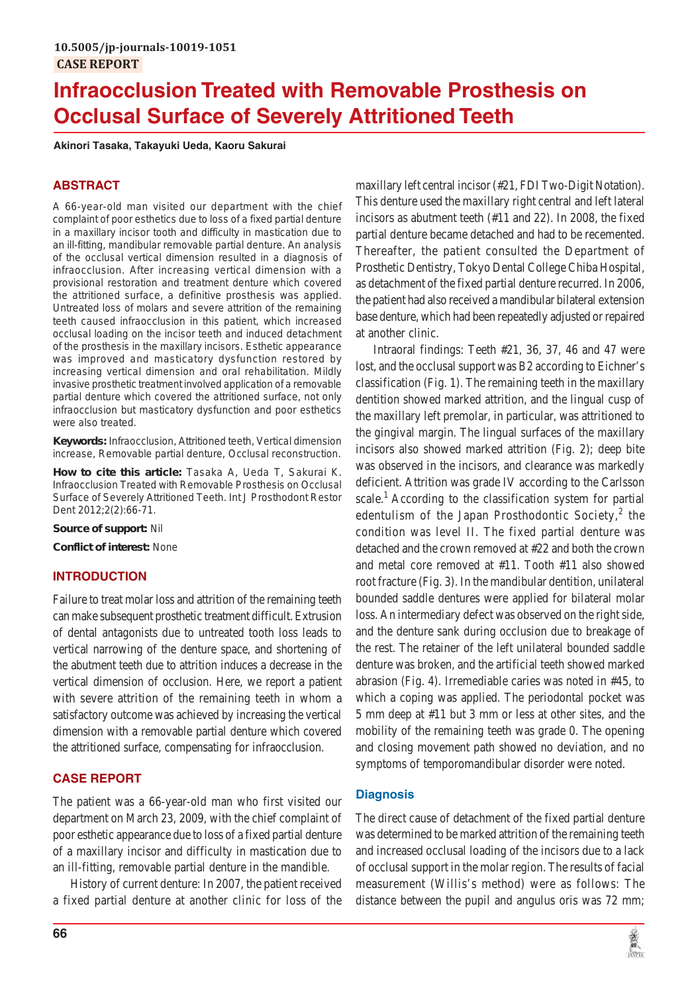# **Infraocclusion Treated with Removable Prosthesis on Occlusal Surface of Severely Attritioned Teeth**

**Akinori Tasaka, Takayuki Ueda, Kaoru Sakurai**

# **ABSTRACT**

A 66-year-old man visited our department with the chief complaint of poor esthetics due to loss of a fixed partial denture in a maxillary incisor tooth and difficulty in mastication due to an ill-fitting, mandibular removable partial denture. An analysis of the occlusal vertical dimension resulted in a diagnosis of infraocclusion. After increasing vertical dimension with a provisional restoration and treatment denture which covered the attritioned surface, a definitive prosthesis was applied. Untreated loss of molars and severe attrition of the remaining teeth caused infraocclusion in this patient, which increased occlusal loading on the incisor teeth and induced detachment of the prosthesis in the maxillary incisors. Esthetic appearance was improved and masticatory dysfunction restored by increasing vertical dimension and oral rehabilitation. Mildly invasive prosthetic treatment involved application of a removable partial denture which covered the attritioned surface, not only infraocclusion but masticatory dysfunction and poor esthetics were also treated.

**Keywords:** Infraocclusion, Attritioned teeth, Vertical dimension increase, Removable partial denture, Occlusal reconstruction.

**How to cite this article:** Tasaka A, Ueda T, Sakurai K. Infraocclusion Treated with Removable Prosthesis on Occlusal Surface of Severely Attritioned Teeth. Int J Prosthodont Restor Dent 2012;2(2):66-71.

**Source of support:** Nil

**Conflict of interest:** None

# **INTRODUCTION**

Failure to treat molar loss and attrition of the remaining teeth can make subsequent prosthetic treatment difficult. Extrusion of dental antagonists due to untreated tooth loss leads to vertical narrowing of the denture space, and shortening of the abutment teeth due to attrition induces a decrease in the vertical dimension of occlusion. Here, we report a patient with severe attrition of the remaining teeth in whom a satisfactory outcome was achieved by increasing the vertical dimension with a removable partial denture which covered the attritioned surface, compensating for infraocclusion.

# **CASE REPORT**

The patient was a 66-year-old man who first visited our department on March 23, 2009, with the chief complaint of poor esthetic appearance due to loss of a fixed partial denture of a maxillary incisor and difficulty in mastication due to an ill-fitting, removable partial denture in the mandible.

History of current denture: In 2007, the patient received a fixed partial denture at another clinic for loss of the

maxillary left central incisor (#21, FDI Two-Digit Notation). This denture used the maxillary right central and left lateral incisors as abutment teeth (#11 and 22). In 2008, the fixed partial denture became detached and had to be recemented. Thereafter, the patient consulted the Department of Prosthetic Dentistry, Tokyo Dental College Chiba Hospital, as detachment of the fixed partial denture recurred. In 2006, the patient had also received a mandibular bilateral extension base denture, which had been repeatedly adjusted or repaired at another clinic.

Intraoral findings: Teeth #21, 36, 37, 46 and 47 were lost, and the occlusal support was B2 according to Eichner's classification (Fig. 1). The remaining teeth in the maxillary dentition showed marked attrition, and the lingual cusp of the maxillary left premolar, in particular, was attritioned to the gingival margin. The lingual surfaces of the maxillary incisors also showed marked attrition (Fig. 2); deep bite was observed in the incisors, and clearance was markedly deficient. Attrition was grade IV according to the Carlsson scale.<sup>1</sup> According to the classification system for partial edentulism of the Japan Prosthodontic Society, $2$  the condition was level II. The fixed partial denture was detached and the crown removed at #22 and both the crown and metal core removed at #11. Tooth #11 also showed root fracture (Fig. 3). In the mandibular dentition, unilateral bounded saddle dentures were applied for bilateral molar loss. An intermediary defect was observed on the right side, and the denture sank during occlusion due to breakage of the rest. The retainer of the left unilateral bounded saddle denture was broken, and the artificial teeth showed marked abrasion (Fig. 4). Irremediable caries was noted in #45, to which a coping was applied. The periodontal pocket was 5 mm deep at #11 but 3 mm or less at other sites, and the mobility of the remaining teeth was grade 0. The opening and closing movement path showed no deviation, and no symptoms of temporomandibular disorder were noted.

## **Diagnosis**

The direct cause of detachment of the fixed partial denture was determined to be marked attrition of the remaining teeth and increased occlusal loading of the incisors due to a lack of occlusal support in the molar region. The results of facial measurement (Willis's method) were as follows: The distance between the pupil and angulus oris was 72 mm;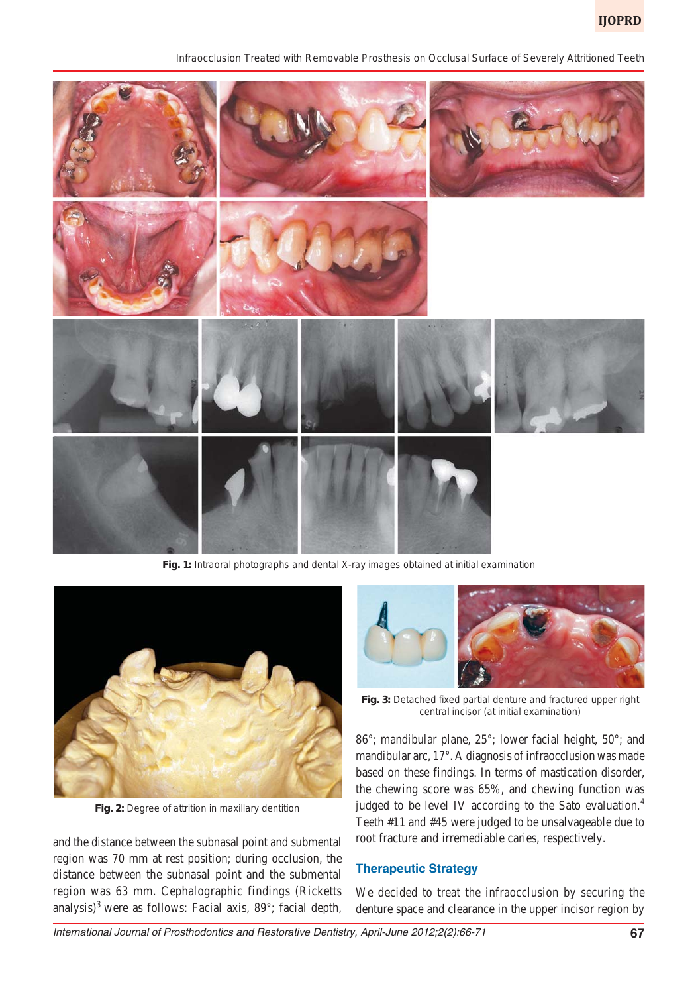*Infraocclusion Treated with Removable Prosthesis on Occlusal Surface of Severely Attritioned Teeth*



**Fig. 1:** Intraoral photographs and dental X-ray images obtained at initial examination



**Fig. 2:** Degree of attrition in maxillary dentition

and the distance between the subnasal point and submental region was 70 mm at rest position; during occlusion, the distance between the subnasal point and the submental region was 63 mm. Cephalographic findings (Ricketts analysis)<sup>3</sup> were as follows: Facial axis,  $89^\circ$ ; facial depth,



**Fig. 3:** Detached fixed partial denture and fractured upper right central incisor (at initial examination)

86°; mandibular plane, 25°; lower facial height, 50°; and mandibular arc, 17°. A diagnosis of infraocclusion was made based on these findings. In terms of mastication disorder, the chewing score was 65%, and chewing function was judged to be level IV according to the Sato evaluation.<sup>4</sup> Teeth #11 and #45 were judged to be unsalvageable due to root fracture and irremediable caries, respectively.

### **Therapeutic Strategy**

We decided to treat the infraocclusion by securing the denture space and clearance in the upper incisor region by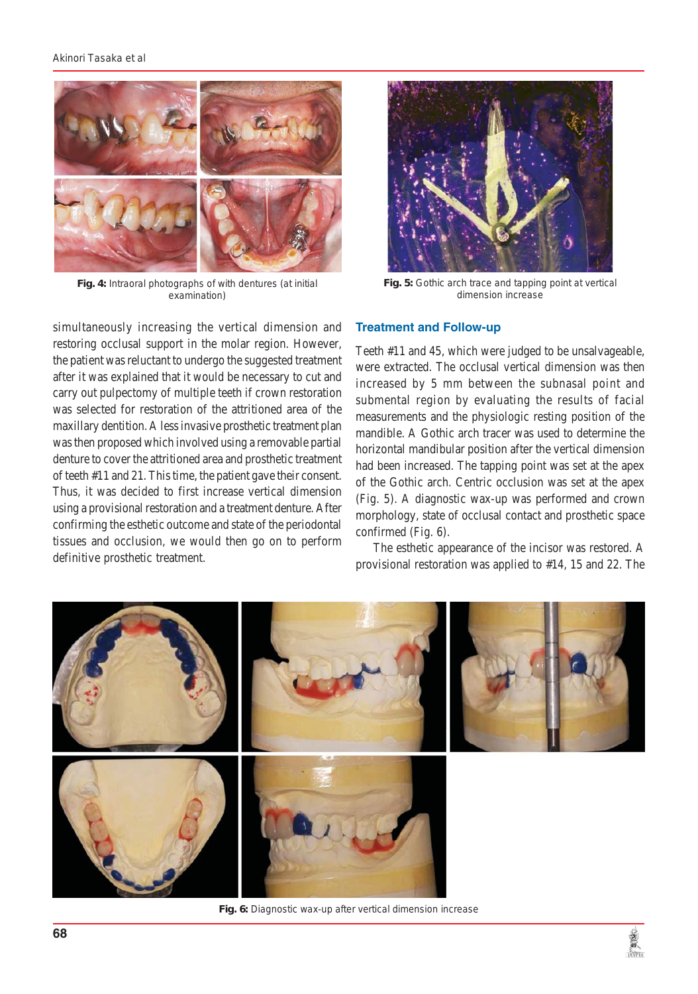

**Fig. 4:** Intraoral photographs of with dentures (at initial examination)

simultaneously increasing the vertical dimension and restoring occlusal support in the molar region. However, the patient was reluctant to undergo the suggested treatment after it was explained that it would be necessary to cut and carry out pulpectomy of multiple teeth if crown restoration was selected for restoration of the attritioned area of the maxillary dentition. A less invasive prosthetic treatment plan was then proposed which involved using a removable partial denture to cover the attritioned area and prosthetic treatment of teeth #11 and 21. This time, the patient gave their consent. Thus, it was decided to first increase vertical dimension using a provisional restoration and a treatment denture. After confirming the esthetic outcome and state of the periodontal tissues and occlusion, we would then go on to perform definitive prosthetic treatment.



**Fig. 5:** Gothic arch trace and tapping point at vertical dimension increase

## **Treatment and Follow-up**

Teeth #11 and 45, which were judged to be unsalvageable, were extracted. The occlusal vertical dimension was then increased by 5 mm between the subnasal point and submental region by evaluating the results of facial measurements and the physiologic resting position of the mandible. A Gothic arch tracer was used to determine the horizontal mandibular position after the vertical dimension had been increased. The tapping point was set at the apex of the Gothic arch. Centric occlusion was set at the apex (Fig. 5). A diagnostic wax-up was performed and crown morphology, state of occlusal contact and prosthetic space confirmed (Fig. 6).

The esthetic appearance of the incisor was restored. A provisional restoration was applied to #14, 15 and 22. The



**Fig. 6:** Diagnostic wax-up after vertical dimension increase

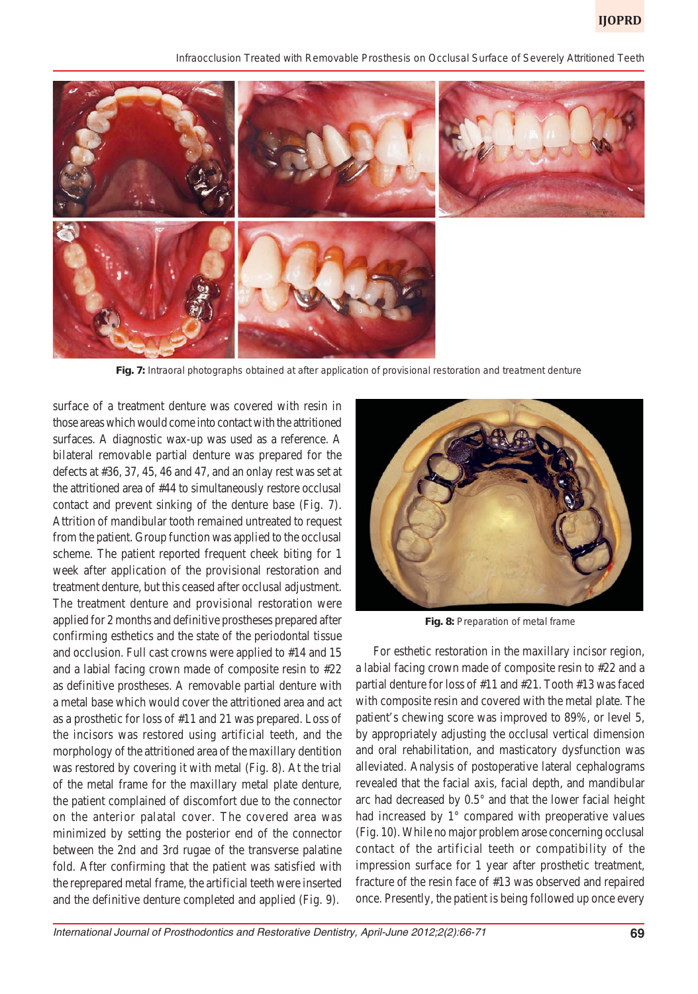*Infraocclusion Treated with Removable Prosthesis on Occlusal Surface of Severely Attritioned Teeth*



**Fig. 7:** Intraoral photographs obtained at after application of provisional restoration and treatment denture

surface of a treatment denture was covered with resin in those areas which would come into contact with the attritioned surfaces. A diagnostic wax-up was used as a reference. A bilateral removable partial denture was prepared for the defects at #36, 37, 45, 46 and 47, and an onlay rest was set at the attritioned area of #44 to simultaneously restore occlusal contact and prevent sinking of the denture base (Fig. 7). Attrition of mandibular tooth remained untreated to request from the patient. Group function was applied to the occlusal scheme. The patient reported frequent cheek biting for 1 week after application of the provisional restoration and treatment denture, but this ceased after occlusal adjustment. The treatment denture and provisional restoration were applied for 2 months and definitive prostheses prepared after confirming esthetics and the state of the periodontal tissue and occlusion. Full cast crowns were applied to #14 and 15 and a labial facing crown made of composite resin to #22 as definitive prostheses. A removable partial denture with a metal base which would cover the attritioned area and act as a prosthetic for loss of #11 and 21 was prepared. Loss of the incisors was restored using artificial teeth, and the morphology of the attritioned area of the maxillary dentition was restored by covering it with metal (Fig. 8). At the trial of the metal frame for the maxillary metal plate denture, the patient complained of discomfort due to the connector on the anterior palatal cover. The covered area was minimized by setting the posterior end of the connector between the 2nd and 3rd rugae of the transverse palatine fold. After confirming that the patient was satisfied with the reprepared metal frame, the artificial teeth were inserted and the definitive denture completed and applied (Fig. 9).



**Fig. 8:** Preparation of metal frame

For esthetic restoration in the maxillary incisor region, a labial facing crown made of composite resin to #22 and a partial denture for loss of #11 and #21. Tooth #13 was faced with composite resin and covered with the metal plate. The patient's chewing score was improved to 89%, or level 5, by appropriately adjusting the occlusal vertical dimension and oral rehabilitation, and masticatory dysfunction was alleviated. Analysis of postoperative lateral cephalograms revealed that the facial axis, facial depth, and mandibular arc had decreased by 0.5° and that the lower facial height had increased by 1° compared with preoperative values (Fig. 10). While no major problem arose concerning occlusal contact of the artificial teeth or compatibility of the impression surface for 1 year after prosthetic treatment, fracture of the resin face of #13 was observed and repaired once. Presently, the patient is being followed up once every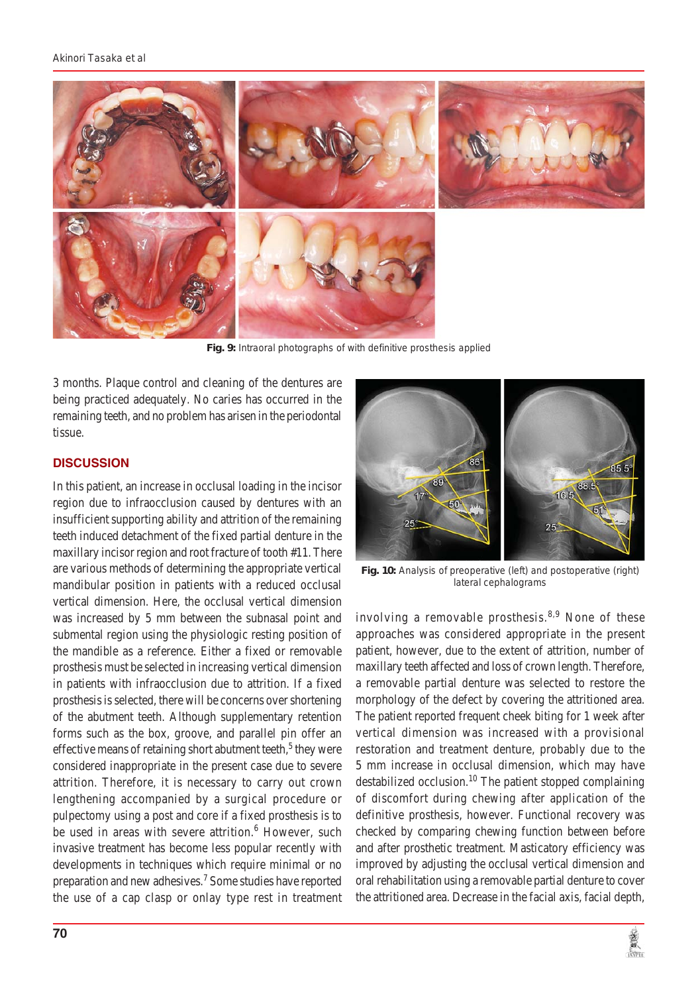

**Fig. 9:** Intraoral photographs of with definitive prosthesis applied

3 months. Plaque control and cleaning of the dentures are being practiced adequately. No caries has occurred in the remaining teeth, and no problem has arisen in the periodontal tissue.

## **DISCUSSION**

In this patient, an increase in occlusal loading in the incisor region due to infraocclusion caused by dentures with an insufficient supporting ability and attrition of the remaining teeth induced detachment of the fixed partial denture in the maxillary incisor region and root fracture of tooth #11. There are various methods of determining the appropriate vertical mandibular position in patients with a reduced occlusal vertical dimension. Here, the occlusal vertical dimension was increased by 5 mm between the subnasal point and submental region using the physiologic resting position of the mandible as a reference. Either a fixed or removable prosthesis must be selected in increasing vertical dimension in patients with infraocclusion due to attrition. If a fixed prosthesis is selected, there will be concerns over shortening of the abutment teeth. Although supplementary retention forms such as the box, groove, and parallel pin offer an effective means of retaining short abutment teeth, $5$  they were considered inappropriate in the present case due to severe attrition. Therefore, it is necessary to carry out crown lengthening accompanied by a surgical procedure or pulpectomy using a post and core if a fixed prosthesis is to be used in areas with severe attrition.<sup>6</sup> However, such invasive treatment has become less popular recently with developments in techniques which require minimal or no preparation and new adhesives.<sup>7</sup> Some studies have reported the use of a cap clasp or onlay type rest in treatment



**Fig. 10:** Analysis of preoperative (left) and postoperative (right) lateral cephalograms

involving a removable prosthesis.<sup>8,9</sup> None of these approaches was considered appropriate in the present patient, however, due to the extent of attrition, number of maxillary teeth affected and loss of crown length. Therefore, a removable partial denture was selected to restore the morphology of the defect by covering the attritioned area. The patient reported frequent cheek biting for 1 week after vertical dimension was increased with a provisional restoration and treatment denture, probably due to the 5 mm increase in occlusal dimension, which may have destabilized occlusion.<sup>10</sup> The patient stopped complaining of discomfort during chewing after application of the definitive prosthesis, however. Functional recovery was checked by comparing chewing function between before and after prosthetic treatment. Masticatory efficiency was improved by adjusting the occlusal vertical dimension and oral rehabilitation using a removable partial denture to cover the attritioned area. Decrease in the facial axis, facial depth,